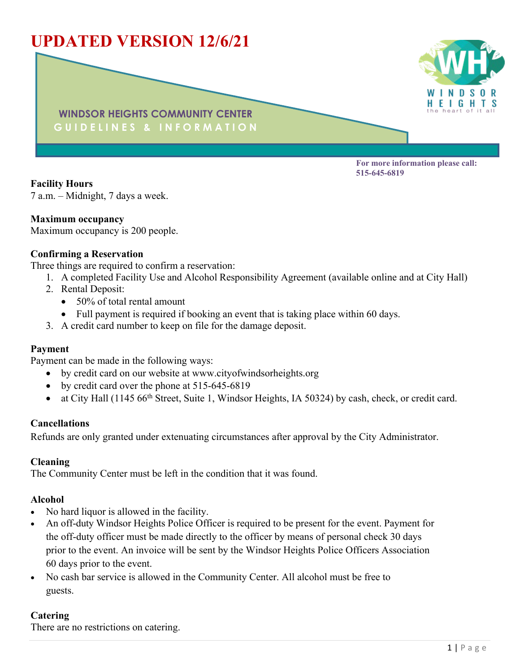# **UPDATED VERSION 12/6/21**



**WINDSOR HEIGHTS COMMUNITY CENTER G U I D E L I N E S & I N F O R M A T I O N**

> **For more information please call: 515-645-6819**

**Facility Hours** 7 a.m. – Midnight, 7 days a week.

#### **Maximum occupancy**

Maximum occupancy is 200 people.

#### **Confirming a Reservation**

Three things are required to confirm a reservation:

- 1. A completed Facility Use and Alcohol Responsibility Agreement (available online and at City Hall)
- 2. Rental Deposit:
	- 50% of total rental amount
	- Full payment is required if booking an event that is taking place within 60 days.
- 3. A credit card number to keep on file for the damage deposit.

#### **Payment**

Payment can be made in the following ways:

- by credit card on our website at www.cityofwindsorheights.org
- by credit card over the phone at 515-645-6819
- at City Hall (1145 66<sup>th</sup> Street, Suite 1, Windsor Heights, IA 50324) by cash, check, or credit card.

#### **Cancellations**

Refunds are only granted under extenuating circumstances after approval by the City Administrator.

#### **Cleaning**

The Community Center must be left in the condition that it was found.

## **Alcohol**

- No hard liquor is allowed in the facility.
- An off-duty Windsor Heights Police Officer is required to be present for the event. Payment for the off-duty officer must be made directly to the officer by means of personal check 30 days prior to the event. An invoice will be sent by the Windsor Heights Police Officers Association 60 days prior to the event.
- No cash bar service is allowed in the Community Center. All alcohol must be free to guests.

## **Catering**

There are no restrictions on catering.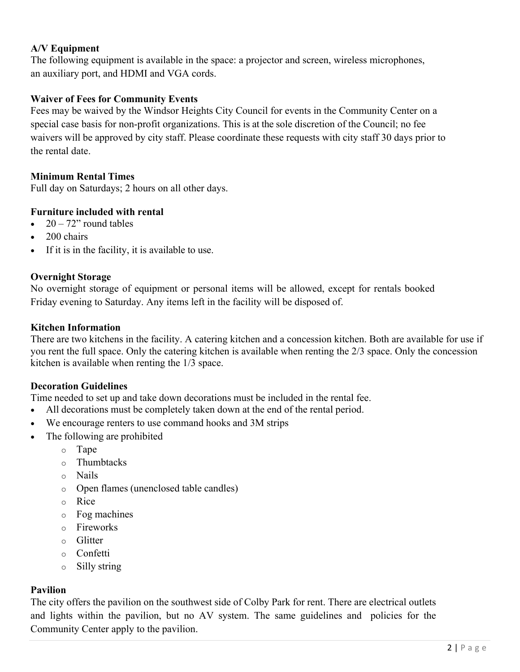# **A/V Equipment**

The following equipment is available in the space: a projector and screen, wireless microphones, an auxiliary port, and HDMI and VGA cords.

## **Waiver of Fees for Community Events**

Fees may be waived by the Windsor Heights City Council for events in the Community Center on a special case basis for non-profit organizations. This is at the sole discretion of the Council; no fee waivers will be approved by city staff. Please coordinate these requests with city staff 30 days prior to the rental date.

# **Minimum Rental Times**

Full day on Saturdays; 2 hours on all other days.

# **Furniture included with rental**

- $20 72$ " round tables
- $\bullet$  200 chairs
- If it is in the facility, it is available to use.

# **Overnight Storage**

No overnight storage of equipment or personal items will be allowed, except for rentals booked Friday evening to Saturday. Any items left in the facility will be disposed of.

# **Kitchen Information**

There are two kitchens in the facility. A catering kitchen and a concession kitchen. Both are available for use if you rent the full space. Only the catering kitchen is available when renting the 2/3 space. Only the concession kitchen is available when renting the 1/3 space.

## **Decoration Guidelines**

Time needed to set up and take down decorations must be included in the rental fee.

- All decorations must be completely taken down at the end of the rental period.
- We encourage renters to use command hooks and 3M strips
- The following are prohibited
	- o Tape
	- o Thumbtacks
	- o Nails
	- o Open flames (unenclosed table candles)
	- o Rice
	- o Fog machines
	- o Fireworks
	- o Glitter
	- o Confetti
	- o Silly string

## **Pavilion**

The city offers the pavilion on the southwest side of Colby Park for rent. There are electrical outlets and lights within the pavilion, but no AV system. The same guidelines and policies for the Community Center apply to the pavilion.